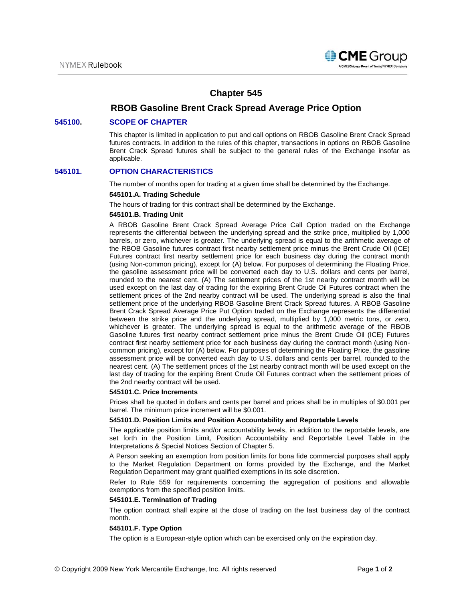

# **Chapter 545**

# **RBOB Gasoline Brent Crack Spread Average Price Option**

### **545100. SCOPE OF CHAPTER**

This chapter is limited in application to put and call options on RBOB Gasoline Brent Crack Spread futures contracts. In addition to the rules of this chapter, transactions in options on RBOB Gasoline Brent Crack Spread futures shall be subject to the general rules of the Exchange insofar as applicable.

## **545101. OPTION CHARACTERISTICS**

The number of months open for trading at a given time shall be determined by the Exchange.

### **545101.A. Trading Schedule**

The hours of trading for this contract shall be determined by the Exchange.

### **545101.B. Trading Unit**

A RBOB Gasoline Brent Crack Spread Average Price Call Option traded on the Exchange represents the differential between the underlying spread and the strike price, multiplied by 1,000 barrels, or zero, whichever is greater. The underlying spread is equal to the arithmetic average of the RBOB Gasoline futures contract first nearby settlement price minus the Brent Crude Oil (ICE) Futures contract first nearby settlement price for each business day during the contract month (using Non-common pricing), except for (A) below. For purposes of determining the Floating Price, the gasoline assessment price will be converted each day to U.S. dollars and cents per barrel, rounded to the nearest cent. (A) The settlement prices of the 1st nearby contract month will be used except on the last day of trading for the expiring Brent Crude Oil Futures contract when the settlement prices of the 2nd nearby contract will be used. The underlying spread is also the final settlement price of the underlying RBOB Gasoline Brent Crack Spread futures. A RBOB Gasoline Brent Crack Spread Average Price Put Option traded on the Exchange represents the differential between the strike price and the underlying spread, multiplied by 1,000 metric tons, or zero, whichever is greater. The underlying spread is equal to the arithmetic average of the RBOB Gasoline futures first nearby contract settlement price minus the Brent Crude Oil (ICE) Futures contract first nearby settlement price for each business day during the contract month (using Noncommon pricing), except for (A) below. For purposes of determining the Floating Price, the gasoline assessment price will be converted each day to U.S. dollars and cents per barrel, rounded to the nearest cent. (A) The settlement prices of the 1st nearby contract month will be used except on the last day of trading for the expiring Brent Crude Oil Futures contract when the settlement prices of the 2nd nearby contract will be used.

### **545101.C. Price Increments**

Prices shall be quoted in dollars and cents per barrel and prices shall be in multiples of \$0.001 per barrel. The minimum price increment will be \$0.001.

#### **545101.D. Position Limits and Position Accountability and Reportable Levels**

The applicable position limits and/or accountability levels, in addition to the reportable levels, are set forth in the Position Limit, Position Accountability and Reportable Level Table in the Interpretations & Special Notices Section of Chapter 5.

A Person seeking an exemption from position limits for bona fide commercial purposes shall apply to the Market Regulation Department on forms provided by the Exchange, and the Market Regulation Department may grant qualified exemptions in its sole discretion.

Refer to Rule 559 for requirements concerning the aggregation of positions and allowable exemptions from the specified position limits.

#### **545101.E. Termination of Trading**

The option contract shall expire at the close of trading on the last business day of the contract month.

### **545101.F. Type Option**

The option is a European-style option which can be exercised only on the expiration day.